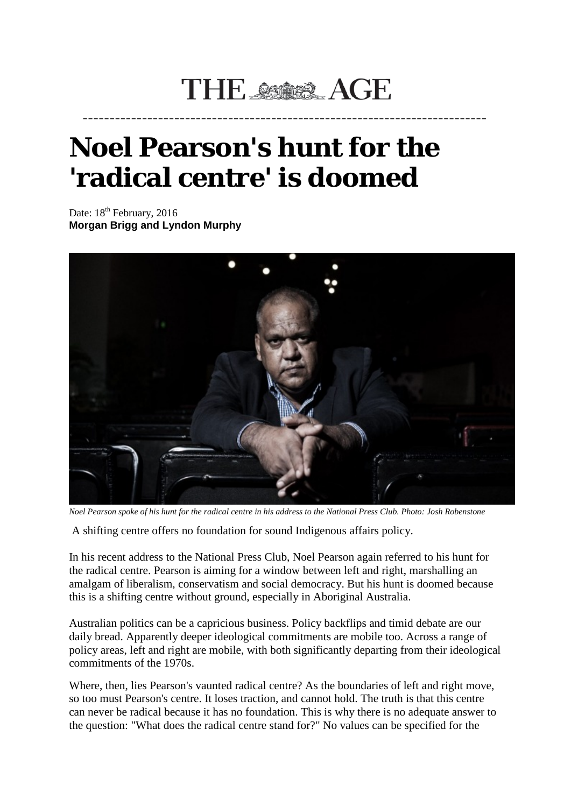## THE SSOR AGE

**\_\_\_\_\_\_\_\_\_\_\_\_\_\_\_\_\_\_\_\_\_\_\_\_\_\_\_\_\_\_\_\_\_\_\_\_\_\_\_\_\_\_\_\_\_\_\_\_\_\_\_\_\_\_\_\_\_\_\_\_\_\_\_\_\_\_\_\_\_\_\_\_\_\_\_**

## **Noel Pearson's hunt for the 'radical centre' is doomed**

Date:  $18<sup>th</sup>$  February, 2016 **Morgan Brigg and Lyndon Murphy**



*Noel Pearson spoke of his hunt for the radical centre in his address to the National Press Club. Photo: Josh Robenstone*

A shifting centre offers no foundation for sound Indigenous affairs policy.

In his recent address to the National Press Club, Noel Pearson again referred to his hunt for the radical centre. Pearson is aiming for a window between left and right, marshalling an amalgam of liberalism, conservatism and social democracy. But his hunt is doomed because this is a shifting centre without ground, especially in Aboriginal Australia.

Australian politics can be a capricious business. Policy backflips and timid debate are our daily bread. Apparently deeper ideological commitments are mobile too. Across a range of policy areas, left and right are mobile, with both significantly departing from their ideological commitments of the 1970s.

Where, then, lies Pearson's vaunted radical centre? As the boundaries of left and right move, so too must Pearson's centre. It loses traction, and cannot hold. The truth is that this centre can never be radical because it has no foundation. This is why there is no adequate answer to the question: "What does the radical centre stand for?" No values can be specified for the